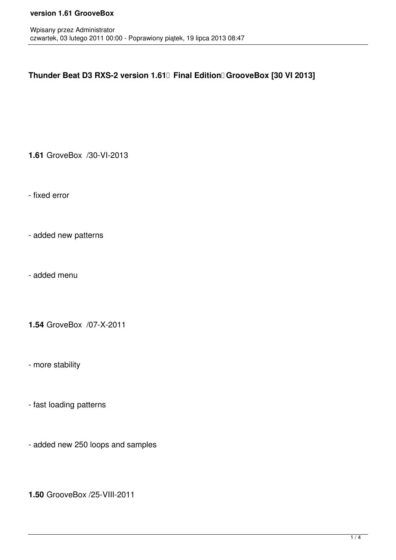## **version 1.61 GrooveBox**

## Thunder Beat D3 RXS-2 version 1.61<sup>[]</sup> Final Edition<sup>[]</sup> GrooveBox [30 VI 2013]

**1.61** GroveBox /30-VI-2013

- fixed error

- added new patterns

- added menu

**1.54** GroveBox /07-X-2011

- more stability

- fast loading patterns

- added new 250 loops and samples

**1.50** GrooveBox /25-VIII-2011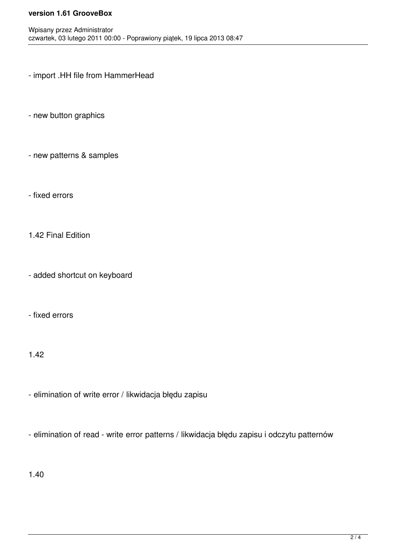## **version 1.61 GrooveBox**

- import .HH file from HammerHead
- new button graphics
- new patterns & samples
- fixed errors
- 1.42 Final Edition
- added shortcut on keyboard
- fixed errors
- 1.42
- elimination of write error / likwidacja błędu zapisu
- elimination of read write error patterns / likwidacja błędu zapisu i odczytu patternów
- 1.40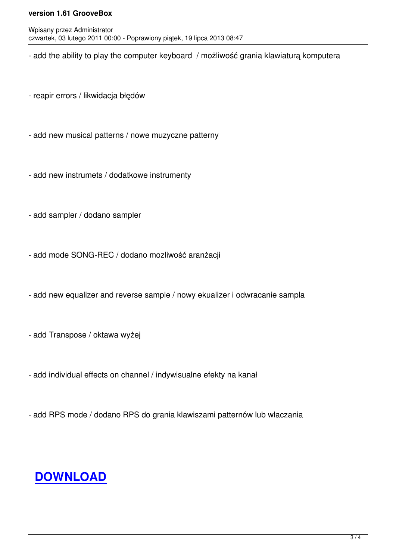- add the ability to play the computer keyboard / możliwość grania klawiaturą komputera

- reapir errors / likwidacja błędów
- add new musical patterns / nowe muzyczne patterny
- add new instrumets / dodatkowe instrumenty
- add sampler / dodano sampler
- add mode SONG-REC / dodano mozliwość aranżacji
- add new equalizer and reverse sample / nowy ekualizer i odwracanie sampla
- add Transpose / oktawa wyżej
- add individual effects on channel / indywisualne efekty na kanał
- add RPS mode / dodano RPS do grania klawiszami patternów lub właczania

## **DOWNLOAD**